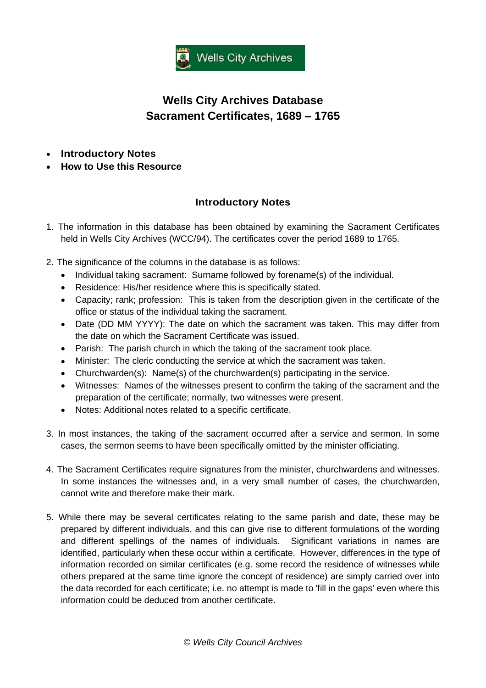

## **Wells City Archives Database Sacrament Certificates, 1689 – 1765**

- **[Introductory](#page-0-0) Notes**
- <span id="page-0-0"></span>• **[How to Use this Resource](#page-1-0)**

## **Introductory Notes**

- 1. The information in this database has been obtained by examining the Sacrament Certificates held in Wells City Archives (WCC/94). The certificates cover the period 1689 to 1765.
- 2. The significance of the columns in the database is as follows:
	- Individual taking sacrament: Surname followed by forename(s) of the individual.
	- Residence: His/her residence where this is specifically stated.
	- Capacity; rank; profession: This is taken from the description given in the certificate of the office or status of the individual taking the sacrament.
	- Date (DD MM YYYY): The date on which the sacrament was taken. This may differ from the date on which the Sacrament Certificate was issued.
	- Parish: The parish church in which the taking of the sacrament took place.
	- Minister: The cleric conducting the service at which the sacrament was taken.
	- Churchwarden(s): Name(s) of the churchwarden(s) participating in the service.
	- Witnesses: Names of the witnesses present to confirm the taking of the sacrament and the preparation of the certificate; normally, two witnesses were present.
	- Notes: Additional notes related to a specific certificate.
- 3. In most instances, the taking of the sacrament occurred after a service and sermon. In some cases, the sermon seems to have been specifically omitted by the minister officiating.
- 4. The Sacrament Certificates require signatures from the minister, churchwardens and witnesses. In some instances the witnesses and, in a very small number of cases, the churchwarden, cannot write and therefore make their mark.
- 5. While there may be several certificates relating to the same parish and date, these may be prepared by different individuals, and this can give rise to different formulations of the wording and different spellings of the names of individuals. Significant variations in names are identified, particularly when these occur within a certificate. However, differences in the type of information recorded on similar certificates (e.g. some record the residence of witnesses while others prepared at the same time ignore the concept of residence) are simply carried over into the data recorded for each certificate; i.e. no attempt is made to 'fill in the gaps' even where this information could be deduced from another certificate.